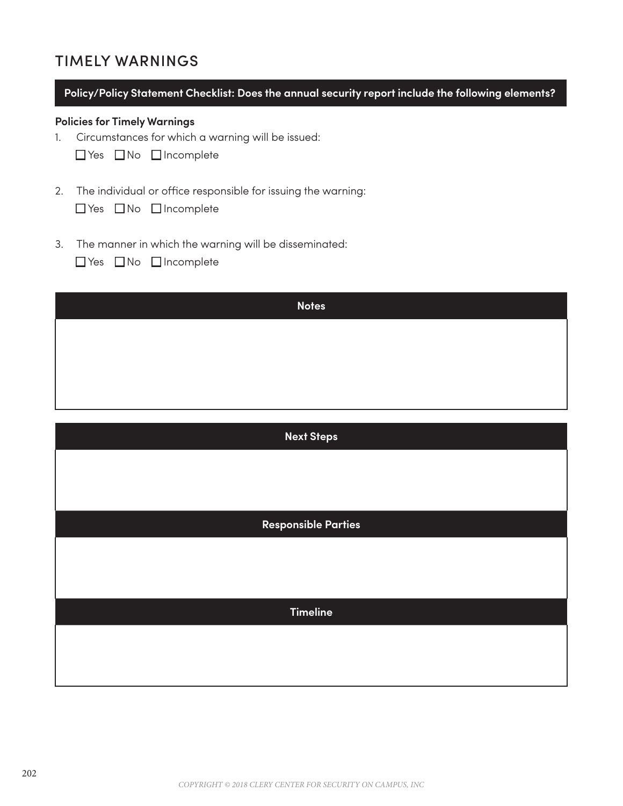# TIMELY WARNINGS

|  |  |  |  | Policy/Policy Statement Checklist: Does the annual security report include the following elements? |
|--|--|--|--|----------------------------------------------------------------------------------------------------|
|  |  |  |  |                                                                                                    |
|  |  |  |  |                                                                                                    |

# **Policies for Timely Warnings**

1. Circumstances for which a warning will be issued:

|  |  | □ Yes □ No □ Incomplete |
|--|--|-------------------------|
|--|--|-------------------------|

2. The individual or office responsible for issuing the warning:

|  | $\Box$ Yes $\Box$ No $\Box$ Incomplete |
|--|----------------------------------------|
|  |                                        |

3. The manner in which the warning will be disseminated:

| □ Yes □ No □ Incomplete |  |  |  |
|-------------------------|--|--|--|
|-------------------------|--|--|--|

| <b>Notes</b> |
|--------------|
|              |
|              |
|              |

| <b>Next Steps</b>          |
|----------------------------|
|                            |
|                            |
| <b>Responsible Parties</b> |
|                            |
|                            |
| <b>Timeline</b>            |
|                            |
|                            |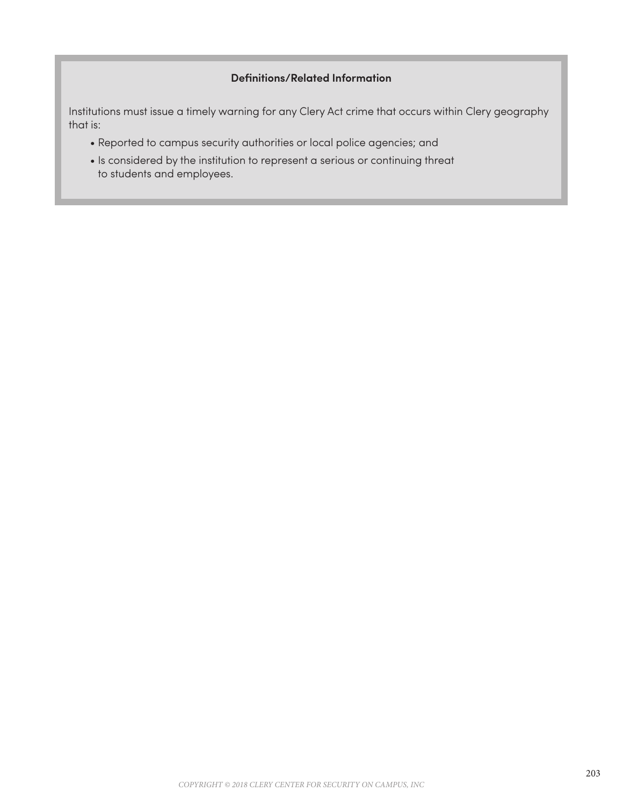# **Definitions/Related Information**

Institutions must issue a timely warning for any Clery Act crime that occurs within Clery geography that is:

- Reported to campus security authorities or local police agencies; and
- Is considered by the institution to represent a serious or continuing threat to students and employees.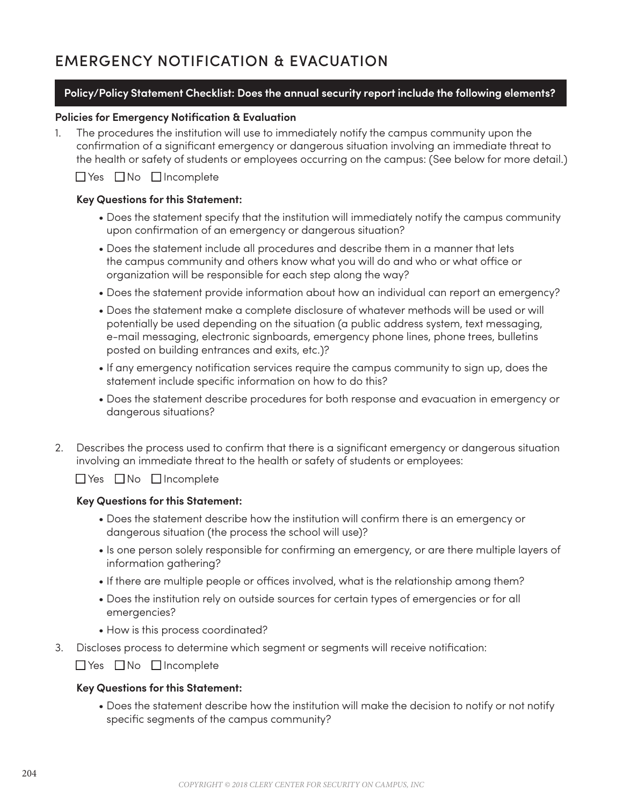# EMERGENCY NOTIFICATION & EVACUATION

# **Policy/Policy Statement Checklist: Does the annual security report include the following elements?**

#### **Policies for Emergency Notification & Evaluation**

1. The procedures the institution will use to immediately notify the campus community upon the confirmation of a significant emergency or dangerous situation involving an immediate threat to the health or safety of students or employees occurring on the campus: (See below for more detail.)

 $\Box$  Yes  $\Box$  No  $\Box$  Incomplete

#### **Key Questions for this Statement:**

- Does the statement specify that the institution will immediately notify the campus community upon confirmation of an emergency or dangerous situation?
- Does the statement include all procedures and describe them in a manner that lets the campus community and others know what you will do and who or what office or organization will be responsible for each step along the way?
- Does the statement provide information about how an individual can report an emergency?
- Does the statement make a complete disclosure of whatever methods will be used or will potentially be used depending on the situation (a public address system, text messaging, e-mail messaging, electronic signboards, emergency phone lines, phone trees, bulletins posted on building entrances and exits, etc.)?
- If any emergency notification services require the campus community to sign up, does the statement include specific information on how to do this?
- Does the statement describe procedures for both response and evacuation in emergency or dangerous situations?
- 2. Describes the process used to confirm that there is a significant emergency or dangerous situation involving an immediate threat to the health or safety of students or employees:

 $\Box$  Yes  $\Box$  No  $\Box$  Incomplete

#### **Key Questions for this Statement:**

- Does the statement describe how the institution will confirm there is an emergency or dangerous situation (the process the school will use)?
- Is one person solely responsible for confirming an emergency, or are there multiple layers of information gathering?
- If there are multiple people or offices involved, what is the relationship among them?
- Does the institution rely on outside sources for certain types of emergencies or for all emergencies?
- How is this process coordinated?
- 3. Discloses process to determine which segment or segments will receive notification:

 $\Box$  Yes  $\Box$  No  $\Box$  Incomplete

#### **Key Questions for this Statement:**

 • Does the statement describe how the institution will make the decision to notify or not notify specific segments of the campus community?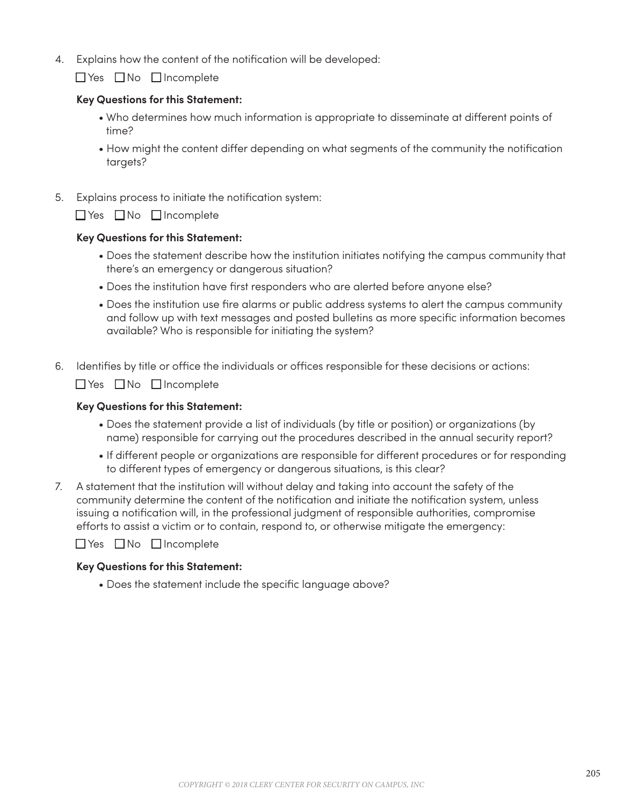4. Explains how the content of the notification will be developed:

 $\Box$  Yes  $\Box$  No  $\Box$  Incomplete

#### **Key Questions for this Statement:**

- Who determines how much information is appropriate to disseminate at different points of time?
- How might the content differ depending on what segments of the community the notification targets?
- 5. Explains process to initiate the notification system:

 $\Box$  Yes  $\Box$  No  $\Box$  Incomplete

#### **Key Questions for this Statement:**

- Does the statement describe how the institution initiates notifying the campus community that there's an emergency or dangerous situation?
- Does the institution have first responders who are alerted before anyone else?
- Does the institution use fire alarms or public address systems to alert the campus community and follow up with text messages and posted bulletins as more specific information becomes available? Who is responsible for initiating the system?
- 6. Identifies by title or office the individuals or offices responsible for these decisions or actions:

 $\Box$  Yes  $\Box$  No  $\Box$  Incomplete

#### **Key Questions for this Statement:**

- Does the statement provide a list of individuals (by title or position) or organizations (by name) responsible for carrying out the procedures described in the annual security report?
- If different people or organizations are responsible for different procedures or for responding to different types of emergency or dangerous situations, is this clear?
- 7. A statement that the institution will without delay and taking into account the safety of the community determine the content of the notification and initiate the notification system, unless issuing a notification will, in the professional judgment of responsible authorities, compromise efforts to assist a victim or to contain, respond to, or otherwise mitigate the emergency:

 $\Box$  Yes  $\Box$  No  $\Box$  Incomplete

#### **Key Questions for this Statement:**

• Does the statement include the specific language above?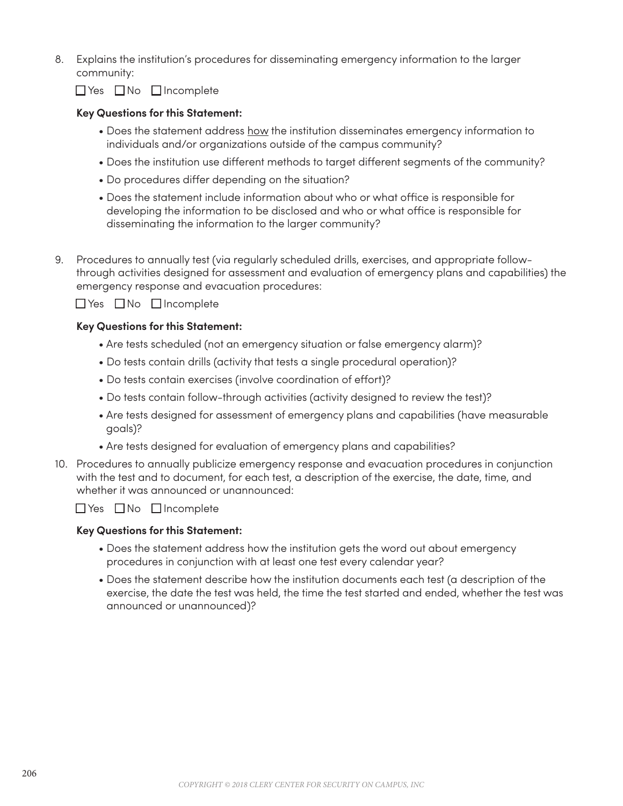8. Explains the institution's procedures for disseminating emergency information to the larger community:

 $\Box$  Yes  $\Box$  No  $\Box$  Incomplete

# **Key Questions for this Statement:**

- Does the statement address how the institution disseminates emergency information to individuals and/or organizations outside of the campus community?
- Does the institution use different methods to target different segments of the community?
- Do procedures differ depending on the situation?
- Does the statement include information about who or what office is responsible for developing the information to be disclosed and who or what office is responsible for disseminating the information to the larger community?
- 9. Procedures to annually test (via regularly scheduled drills, exercises, and appropriate followthrough activities designed for assessment and evaluation of emergency plans and capabilities) the emergency response and evacuation procedures:

 $\Box$  Yes  $\Box$  No  $\Box$  Incomplete

## **Key Questions for this Statement:**

- Are tests scheduled (not an emergency situation or false emergency alarm)?
- Do tests contain drills (activity that tests a single procedural operation)?
- Do tests contain exercises (involve coordination of effort)?
- Do tests contain follow-through activities (activity designed to review the test)?
- Are tests designed for assessment of emergency plans and capabilities (have measurable goals)?
- Are tests designed for evaluation of emergency plans and capabilities?
- 10. Procedures to annually publicize emergency response and evacuation procedures in conjunction with the test and to document, for each test, a description of the exercise, the date, time, and whether it was announced or unannounced:

 $\Box$  Yes  $\Box$  No  $\Box$  Incomplete

#### **Key Questions for this Statement:**

- Does the statement address how the institution gets the word out about emergency procedures in conjunction with at least one test every calendar year?
- Does the statement describe how the institution documents each test (a description of the exercise, the date the test was held, the time the test started and ended, whether the test was announced or unannounced)?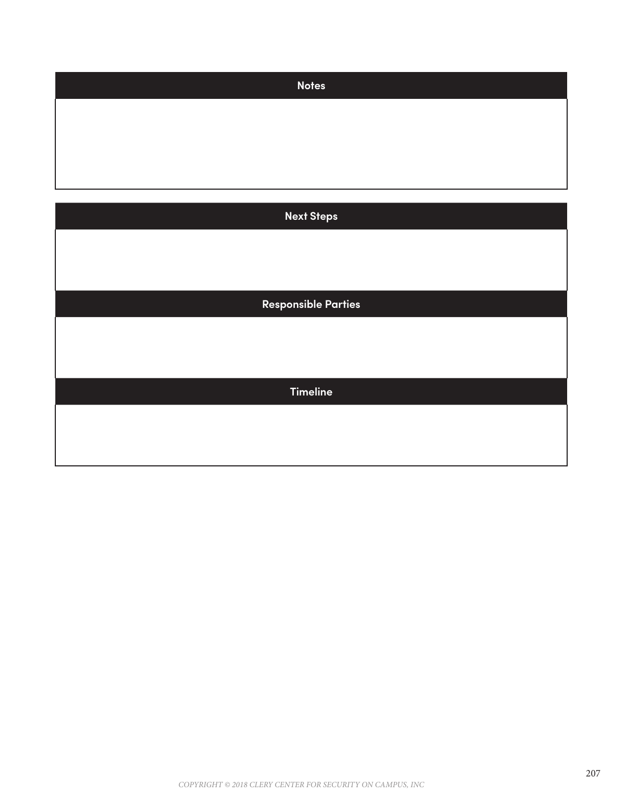| <b>Notes</b>               |
|----------------------------|
|                            |
|                            |
|                            |
|                            |
| <b>Next Steps</b>          |
|                            |
|                            |
|                            |
| <b>Responsible Parties</b> |
|                            |
|                            |
| <b>Timeline</b>            |
|                            |
|                            |
|                            |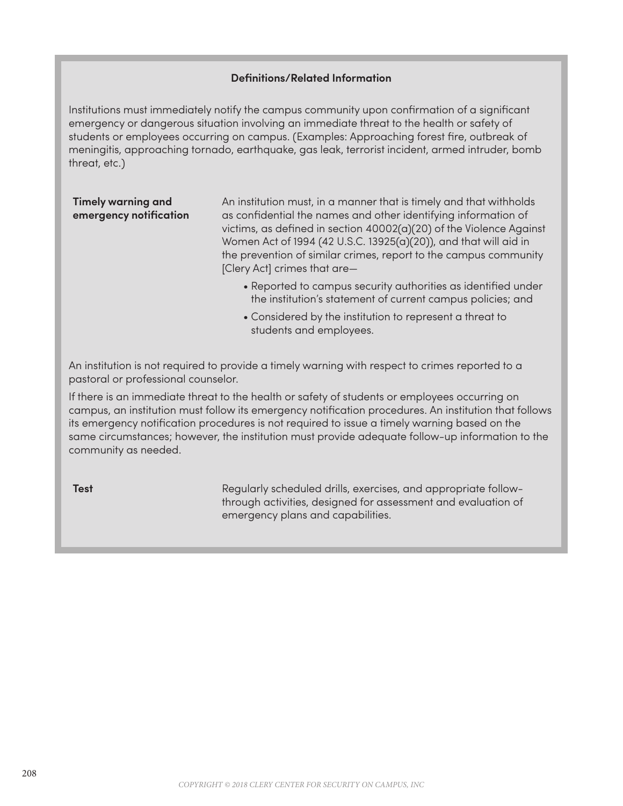## **Definitions/Related Information**

Institutions must immediately notify the campus community upon confirmation of a significant emergency or dangerous situation involving an immediate threat to the health or safety of students or employees occurring on campus. (Examples: Approaching forest fire, outbreak of meningitis, approaching tornado, earthquake, gas leak, terrorist incident, armed intruder, bomb threat, etc.)

# **Timely warning and emergency notification**

An institution must, in a manner that is timely and that withholds as confidential the names and other identifying information of victims, as defined in section 40002(a)(20) of the Violence Against Women Act of 1994 (42 U.S.C. 13925(a)(20)), and that will aid in the prevention of similar crimes, report to the campus community [Clery Act] crimes that are—

- Reported to campus security authorities as identified under the institution's statement of current campus policies; and
- Considered by the institution to represent a threat to students and employees.

An institution is not required to provide a timely warning with respect to crimes reported to a pastoral or professional counselor.

If there is an immediate threat to the health or safety of students or employees occurring on campus, an institution must follow its emergency notification procedures. An institution that follows its emergency notification procedures is not required to issue a timely warning based on the same circumstances; however, the institution must provide adequate follow-up information to the community as needed.

**Test Regularly scheduled drills, exercises, and appropriate follow**through activities, designed for assessment and evaluation of emergency plans and capabilities.